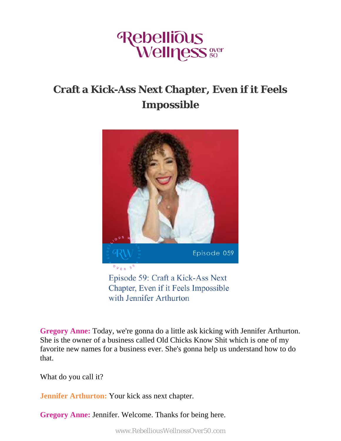

## **Craft a Kick-Ass Next Chapter, Even if it Feels Impossible**



with Jennifer Arthurton

**Gregory Anne:** Today, we're gonna do a little ask kicking with Jennifer Arthurton. She is the owner of a business called Old Chicks Know Shit which is one of my favorite new names for a business ever. She's gonna help us understand how to do that.

What do you call it?

**Jennifer Arthurton:** Your kick ass next chapter.

**Gregory Anne:** Jennifer. Welcome. Thanks for being here.

www.RebelliousWellnessOver50.com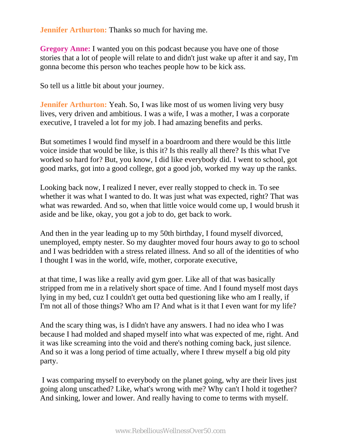**Jennifer Arthurton:** Thanks so much for having me.

**Gregory Anne:** I wanted you on this podcast because you have one of those stories that a lot of people will relate to and didn't just wake up after it and say, I'm gonna become this person who teaches people how to be kick ass.

So tell us a little bit about your journey.

**Jennifer Arthurton:** Yeah. So, I was like most of us women living very busy lives, very driven and ambitious. I was a wife, I was a mother, I was a corporate executive, I traveled a lot for my job. I had amazing benefits and perks.

But sometimes I would find myself in a boardroom and there would be this little voice inside that would be like, is this it? Is this really all there? Is this what I've worked so hard for? But, you know, I did like everybody did. I went to school, got good marks, got into a good college, got a good job, worked my way up the ranks.

Looking back now, I realized I never, ever really stopped to check in. To see whether it was what I wanted to do. It was just what was expected, right? That was what was rewarded. And so, when that little voice would come up, I would brush it aside and be like, okay, you got a job to do, get back to work.

And then in the year leading up to my 50th birthday, I found myself divorced, unemployed, empty nester. So my daughter moved four hours away to go to school and I was bedridden with a stress related illness. And so all of the identities of who I thought I was in the world, wife, mother, corporate executive,

at that time, I was like a really avid gym goer. Like all of that was basically stripped from me in a relatively short space of time. And I found myself most days lying in my bed, cuz I couldn't get outta bed questioning like who am I really, if I'm not all of those things? Who am I? And what is it that I even want for my life?

And the scary thing was, is I didn't have any answers. I had no idea who I was because I had molded and shaped myself into what was expected of me, right. And it was like screaming into the void and there's nothing coming back, just silence. And so it was a long period of time actually, where I threw myself a big old pity party.

 I was comparing myself to everybody on the planet going, why are their lives just going along unscathed? Like, what's wrong with me? Why can't I hold it together? And sinking, lower and lower. And really having to come to terms with myself.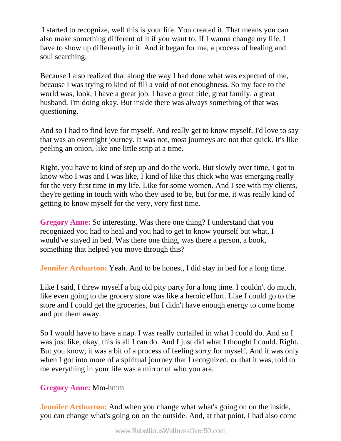I started to recognize, well this is your life. You created it. That means you can also make something different of it if you want to. If I wanna change my life, I have to show up differently in it. And it began for me, a process of healing and soul searching.

Because I also realized that along the way I had done what was expected of me, because I was trying to kind of fill a void of not enoughness. So my face to the world was, look, I have a great job. I have a great title, great family, a great husband. I'm doing okay. But inside there was always something of that was questioning.

And so I had to find love for myself. And really get to know myself. I'd love to say that was an overnight journey. It was not, most journeys are not that quick. It's like peeling an onion, like one little strip at a time.

Right. you have to kind of step up and do the work. But slowly over time, I got to know who I was and I was like, I kind of like this chick who was emerging really for the very first time in my life. Like for some women. And I see with my clients, they're getting in touch with who they used to be, but for me, it was really kind of getting to know myself for the very, very first time.

**Gregory Anne:** So interesting. Was there one thing? I understand that you recognized you had to heal and you had to get to know yourself but what, I would've stayed in bed. Was there one thing, was there a person, a book, something that helped you move through this?

**Jennifer Arthurton:** Yeah. And to be honest, I did stay in bed for a long time.

Like I said, I threw myself a big old pity party for a long time. I couldn't do much, like even going to the grocery store was like a heroic effort. Like I could go to the store and I could get the groceries, but I didn't have enough energy to come home and put them away.

So I would have to have a nap. I was really curtailed in what I could do. And so I was just like, okay, this is all I can do. And I just did what I thought I could. Right. But you know, it was a bit of a process of feeling sorry for myself. And it was only when I got into more of a spiritual journey that I recognized, or that it was, told to me everything in your life was a mirror of who you are.

## **Gregory Anne:** Mm-hmm

**Jennifer Arthurton:** And when you change what what's going on on the inside, you can change what's going on on the outside. And, at that point, I had also come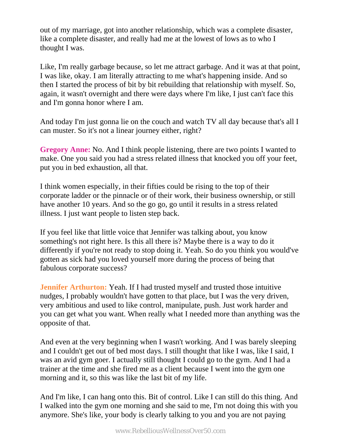out of my marriage, got into another relationship, which was a complete disaster, like a complete disaster, and really had me at the lowest of lows as to who I thought I was.

Like, I'm really garbage because, so let me attract garbage. And it was at that point, I was like, okay. I am literally attracting to me what's happening inside. And so then I started the process of bit by bit rebuilding that relationship with myself. So, again, it wasn't overnight and there were days where I'm like, I just can't face this and I'm gonna honor where I am.

And today I'm just gonna lie on the couch and watch TV all day because that's all I can muster. So it's not a linear journey either, right?

**Gregory Anne:** No. And I think people listening, there are two points I wanted to make. One you said you had a stress related illness that knocked you off your feet, put you in bed exhaustion, all that.

I think women especially, in their fifties could be rising to the top of their corporate ladder or the pinnacle or of their work, their business ownership, or still have another 10 years. And so the go go, go until it results in a stress related illness. I just want people to listen step back.

If you feel like that little voice that Jennifer was talking about, you know something's not right here. Is this all there is? Maybe there is a way to do it differently if you're not ready to stop doing it. Yeah. So do you think you would've gotten as sick had you loved yourself more during the process of being that fabulous corporate success?

**Jennifer Arthurton:** Yeah. If I had trusted myself and trusted those intuitive nudges, I probably wouldn't have gotten to that place, but I was the very driven, very ambitious and used to like control, manipulate, push. Just work harder and you can get what you want. When really what I needed more than anything was the opposite of that.

And even at the very beginning when I wasn't working. And I was barely sleeping and I couldn't get out of bed most days. I still thought that like I was, like I said, I was an avid gym goer. I actually still thought I could go to the gym. And I had a trainer at the time and she fired me as a client because I went into the gym one morning and it, so this was like the last bit of my life.

And I'm like, I can hang onto this. Bit of control. Like I can still do this thing. And I walked into the gym one morning and she said to me, I'm not doing this with you anymore. She's like, your body is clearly talking to you and you are not paying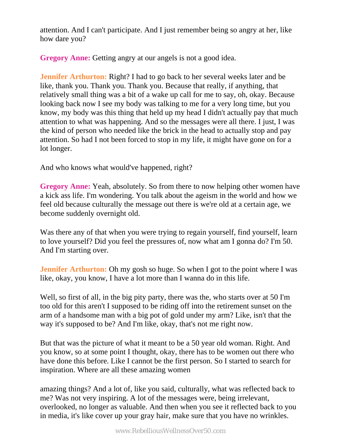attention. And I can't participate. And I just remember being so angry at her, like how dare you?

**Gregory Anne:** Getting angry at our angels is not a good idea.

**Jennifer Arthurton:** Right? I had to go back to her several weeks later and be like, thank you. Thank you. Thank you. Because that really, if anything, that relatively small thing was a bit of a wake up call for me to say, oh, okay. Because looking back now I see my body was talking to me for a very long time, but you know, my body was this thing that held up my head I didn't actually pay that much attention to what was happening. And so the messages were all there. I just, I was the kind of person who needed like the brick in the head to actually stop and pay attention. So had I not been forced to stop in my life, it might have gone on for a lot longer.

And who knows what would've happened, right?

**Gregory Anne:** Yeah, absolutely. So from there to now helping other women have a kick ass life. I'm wondering. You talk about the ageism in the world and how we feel old because culturally the message out there is we're old at a certain age, we become suddenly overnight old.

Was there any of that when you were trying to regain yourself, find yourself, learn to love yourself? Did you feel the pressures of, now what am I gonna do? I'm 50. And I'm starting over.

**Jennifer Arthurton:** Oh my gosh so huge. So when I got to the point where I was like, okay, you know, I have a lot more than I wanna do in this life.

Well, so first of all, in the big pity party, there was the, who starts over at 50 I'm too old for this aren't I supposed to be riding off into the retirement sunset on the arm of a handsome man with a big pot of gold under my arm? Like, isn't that the way it's supposed to be? And I'm like, okay, that's not me right now.

But that was the picture of what it meant to be a 50 year old woman. Right. And you know, so at some point I thought, okay, there has to be women out there who have done this before. Like I cannot be the first person. So I started to search for inspiration. Where are all these amazing women

amazing things? And a lot of, like you said, culturally, what was reflected back to me? Was not very inspiring. A lot of the messages were, being irrelevant, overlooked, no longer as valuable. And then when you see it reflected back to you in media, it's like cover up your gray hair, make sure that you have no wrinkles.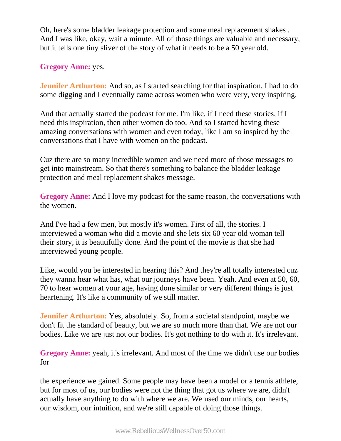Oh, here's some bladder leakage protection and some meal replacement shakes . And I was like, okay, wait a minute. All of those things are valuable and necessary, but it tells one tiny sliver of the story of what it needs to be a 50 year old.

**Gregory Anne:** yes.

**Jennifer Arthurton:** And so, as I started searching for that inspiration. I had to do some digging and I eventually came across women who were very, very inspiring.

And that actually started the podcast for me. I'm like, if I need these stories, if I need this inspiration, then other women do too. And so I started having these amazing conversations with women and even today, like I am so inspired by the conversations that I have with women on the podcast.

Cuz there are so many incredible women and we need more of those messages to get into mainstream. So that there's something to balance the bladder leakage protection and meal replacement shakes message.

**Gregory Anne:** And I love my podcast for the same reason, the conversations with the women.

And I've had a few men, but mostly it's women. First of all, the stories. I interviewed a woman who did a movie and she lets six 60 year old woman tell their story, it is beautifully done. And the point of the movie is that she had interviewed young people.

Like, would you be interested in hearing this? And they're all totally interested cuz they wanna hear what has, what our journeys have been. Yeah. And even at 50, 60, 70 to hear women at your age, having done similar or very different things is just heartening. It's like a community of we still matter.

**Jennifer Arthurton:** Yes, absolutely. So, from a societal standpoint, maybe we don't fit the standard of beauty, but we are so much more than that. We are not our bodies. Like we are just not our bodies. It's got nothing to do with it. It's irrelevant.

**Gregory Anne:** yeah, it's irrelevant. And most of the time we didn't use our bodies for

the experience we gained. Some people may have been a model or a tennis athlete, but for most of us, our bodies were not the thing that got us where we are, didn't actually have anything to do with where we are. We used our minds, our hearts, our wisdom, our intuition, and we're still capable of doing those things.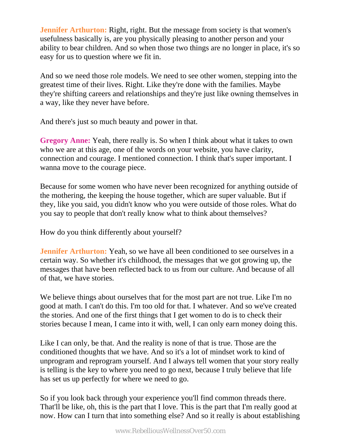**Jennifer Arthurton:** Right, right. But the message from society is that women's usefulness basically is, are you physically pleasing to another person and your ability to bear children. And so when those two things are no longer in place, it's so easy for us to question where we fit in.

And so we need those role models. We need to see other women, stepping into the greatest time of their lives. Right. Like they're done with the families. Maybe they're shifting careers and relationships and they're just like owning themselves in a way, like they never have before.

And there's just so much beauty and power in that.

**Gregory Anne:** Yeah, there really is. So when I think about what it takes to own who we are at this age, one of the words on your website, you have clarity, connection and courage. I mentioned connection. I think that's super important. I wanna move to the courage piece.

Because for some women who have never been recognized for anything outside of the mothering, the keeping the house together, which are super valuable. But if they, like you said, you didn't know who you were outside of those roles. What do you say to people that don't really know what to think about themselves?

How do you think differently about yourself?

**Jennifer Arthurton:** Yeah, so we have all been conditioned to see ourselves in a certain way. So whether it's childhood, the messages that we got growing up, the messages that have been reflected back to us from our culture. And because of all of that, we have stories.

We believe things about ourselves that for the most part are not true. Like I'm no good at math. I can't do this. I'm too old for that. I whatever. And so we've created the stories. And one of the first things that I get women to do is to check their stories because I mean, I came into it with, well, I can only earn money doing this.

Like I can only, be that. And the reality is none of that is true. Those are the conditioned thoughts that we have. And so it's a lot of mindset work to kind of unprogram and reprogram yourself. And I always tell women that your story really is telling is the key to where you need to go next, because I truly believe that life has set us up perfectly for where we need to go.

So if you look back through your experience you'll find common threads there. That'll be like, oh, this is the part that I love. This is the part that I'm really good at now. How can I turn that into something else? And so it really is about establishing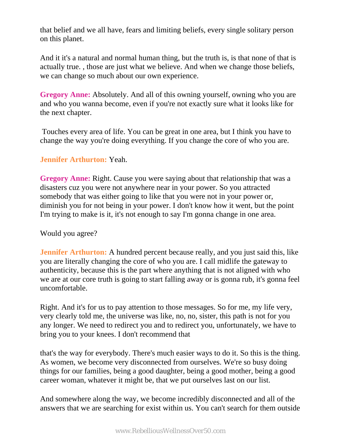that belief and we all have, fears and limiting beliefs, every single solitary person on this planet.

And it it's a natural and normal human thing, but the truth is, is that none of that is actually true. , those are just what we believe. And when we change those beliefs, we can change so much about our own experience.

**Gregory Anne:** Absolutely. And all of this owning yourself, owning who you are and who you wanna become, even if you're not exactly sure what it looks like for the next chapter.

 Touches every area of life. You can be great in one area, but I think you have to change the way you're doing everything. If you change the core of who you are.

## **Jennifer Arthurton:** Yeah.

**Gregory Anne:** Right. Cause you were saying about that relationship that was a disasters cuz you were not anywhere near in your power. So you attracted somebody that was either going to like that you were not in your power or, diminish you for not being in your power. I don't know how it went, but the point I'm trying to make is it, it's not enough to say I'm gonna change in one area.

## Would you agree?

**Jennifer Arthurton:** A hundred percent because really, and you just said this, like you are literally changing the core of who you are. I call midlife the gateway to authenticity, because this is the part where anything that is not aligned with who we are at our core truth is going to start falling away or is gonna rub, it's gonna feel uncomfortable.

Right. And it's for us to pay attention to those messages. So for me, my life very, very clearly told me, the universe was like, no, no, sister, this path is not for you any longer. We need to redirect you and to redirect you, unfortunately, we have to bring you to your knees. I don't recommend that

that's the way for everybody. There's much easier ways to do it. So this is the thing. As women, we become very disconnected from ourselves. We're so busy doing things for our families, being a good daughter, being a good mother, being a good career woman, whatever it might be, that we put ourselves last on our list.

And somewhere along the way, we become incredibly disconnected and all of the answers that we are searching for exist within us. You can't search for them outside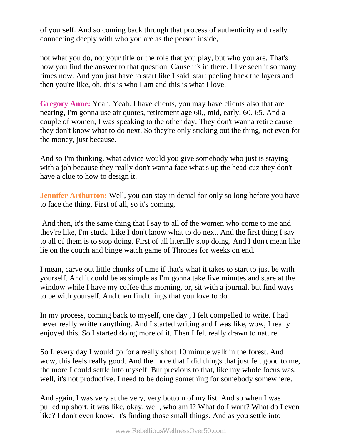of yourself. And so coming back through that process of authenticity and really connecting deeply with who you are as the person inside,

not what you do, not your title or the role that you play, but who you are. That's how you find the answer to that question. Cause it's in there. I I've seen it so many times now. And you just have to start like I said, start peeling back the layers and then you're like, oh, this is who I am and this is what I love.

**Gregory Anne:** Yeah. Yeah. I have clients, you may have clients also that are nearing, I'm gonna use air quotes, retirement age 60,, mid, early, 60, 65. And a couple of women, I was speaking to the other day. They don't wanna retire cause they don't know what to do next. So they're only sticking out the thing, not even for the money, just because.

And so I'm thinking, what advice would you give somebody who just is staying with a job because they really don't wanna face what's up the head cuz they don't have a clue to how to design it.

**Jennifer Arthurton:** Well, you can stay in denial for only so long before you have to face the thing. First of all, so it's coming.

 And then, it's the same thing that I say to all of the women who come to me and they're like, I'm stuck. Like I don't know what to do next. And the first thing I say to all of them is to stop doing. First of all literally stop doing. And I don't mean like lie on the couch and binge watch game of Thrones for weeks on end.

I mean, carve out little chunks of time if that's what it takes to start to just be with yourself. And it could be as simple as I'm gonna take five minutes and stare at the window while I have my coffee this morning, or, sit with a journal, but find ways to be with yourself. And then find things that you love to do.

In my process, coming back to myself, one day , I felt compelled to write. I had never really written anything. And I started writing and I was like, wow, I really enjoyed this. So I started doing more of it. Then I felt really drawn to nature.

So I, every day I would go for a really short 10 minute walk in the forest. And wow, this feels really good. And the more that I did things that just felt good to me, the more I could settle into myself. But previous to that, like my whole focus was, well, it's not productive. I need to be doing something for somebody somewhere.

And again, I was very at the very, very bottom of my list. And so when I was pulled up short, it was like, okay, well, who am I? What do I want? What do I even like? I don't even know. It's finding those small things. And as you settle into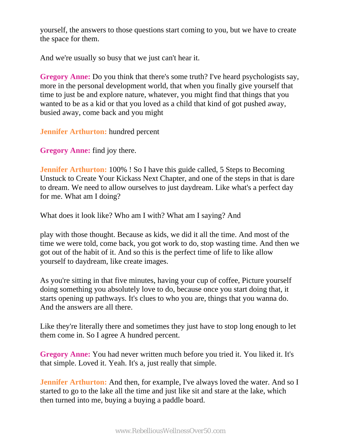yourself, the answers to those questions start coming to you, but we have to create the space for them.

And we're usually so busy that we just can't hear it.

**Gregory Anne:** Do you think that there's some truth? I've heard psychologists say, more in the personal development world, that when you finally give yourself that time to just be and explore nature, whatever, you might find that things that you wanted to be as a kid or that you loved as a child that kind of got pushed away, busied away, come back and you might

**Jennifer Arthurton:** hundred percent

**Gregory Anne:** find joy there.

**Jennifer Arthurton:** 100% ! So I have this guide called, 5 Steps to Becoming Unstuck to Create Your Kickass Next Chapter, and one of the steps in that is dare to dream. We need to allow ourselves to just daydream. Like what's a perfect day for me. What am I doing?

What does it look like? Who am I with? What am I saying? And

play with those thought. Because as kids, we did it all the time. And most of the time we were told, come back, you got work to do, stop wasting time. And then we got out of the habit of it. And so this is the perfect time of life to like allow yourself to daydream, like create images.

As you're sitting in that five minutes, having your cup of coffee, Picture yourself doing something you absolutely love to do, because once you start doing that, it starts opening up pathways. It's clues to who you are, things that you wanna do. And the answers are all there.

Like they're literally there and sometimes they just have to stop long enough to let them come in. So I agree A hundred percent.

**Gregory Anne:** You had never written much before you tried it. You liked it. It's that simple. Loved it. Yeah. It's a, just really that simple.

**Jennifer Arthurton:** And then, for example, I've always loved the water. And so I started to go to the lake all the time and just like sit and stare at the lake, which then turned into me, buying a buying a paddle board.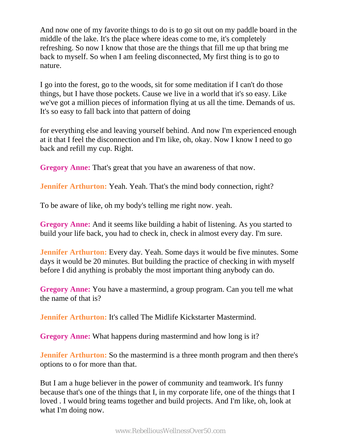And now one of my favorite things to do is to go sit out on my paddle board in the middle of the lake. It's the place where ideas come to me, it's completely refreshing. So now I know that those are the things that fill me up that bring me back to myself. So when I am feeling disconnected, My first thing is to go to nature.

I go into the forest, go to the woods, sit for some meditation if I can't do those things, but I have those pockets. Cause we live in a world that it's so easy. Like we've got a million pieces of information flying at us all the time. Demands of us. It's so easy to fall back into that pattern of doing

for everything else and leaving yourself behind. And now I'm experienced enough at it that I feel the disconnection and I'm like, oh, okay. Now I know I need to go back and refill my cup. Right.

**Gregory Anne:** That's great that you have an awareness of that now.

**Jennifer Arthurton:** Yeah. Yeah. That's the mind body connection, right?

To be aware of like, oh my body's telling me right now. yeah.

**Gregory Anne:** And it seems like building a habit of listening. As you started to build your life back, you had to check in, check in almost every day. I'm sure.

**Jennifer Arthurton:** Every day. Yeah. Some days it would be five minutes. Some days it would be 20 minutes. But building the practice of checking in with myself before I did anything is probably the most important thing anybody can do.

**Gregory Anne:** You have a mastermind, a group program. Can you tell me what the name of that is?

**Jennifer Arthurton:** It's called The Midlife Kickstarter Mastermind.

**Gregory Anne:** What happens during mastermind and how long is it?

**Jennifer Arthurton:** So the mastermind is a three month program and then there's options to o for more than that.

But I am a huge believer in the power of community and teamwork. It's funny because that's one of the things that I, in my corporate life, one of the things that I loved . I would bring teams together and build projects. And I'm like, oh, look at what I'm doing now.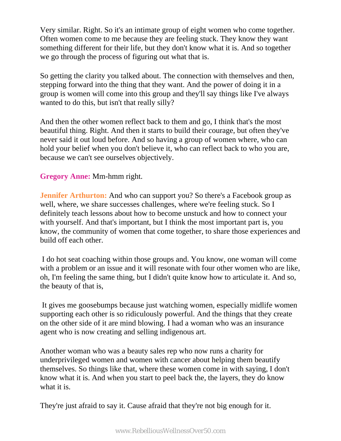Very similar. Right. So it's an intimate group of eight women who come together. Often women come to me because they are feeling stuck. They know they want something different for their life, but they don't know what it is. And so together we go through the process of figuring out what that is.

So getting the clarity you talked about. The connection with themselves and then, stepping forward into the thing that they want. And the power of doing it in a group is women will come into this group and they'll say things like I've always wanted to do this, but isn't that really silly?

And then the other women reflect back to them and go, I think that's the most beautiful thing. Right. And then it starts to build their courage, but often they've never said it out loud before. And so having a group of women where, who can hold your belief when you don't believe it, who can reflect back to who you are, because we can't see ourselves objectively.

**Gregory Anne:** Mm-hmm right.

**Jennifer Arthurton:** And who can support you? So there's a Facebook group as well, where, we share successes challenges, where we're feeling stuck. So I definitely teach lessons about how to become unstuck and how to connect your with yourself. And that's important, but I think the most important part is, you know, the community of women that come together, to share those experiences and build off each other.

 I do hot seat coaching within those groups and. You know, one woman will come with a problem or an issue and it will resonate with four other women who are like, oh, I'm feeling the same thing, but I didn't quite know how to articulate it. And so, the beauty of that is,

 It gives me goosebumps because just watching women, especially midlife women supporting each other is so ridiculously powerful. And the things that they create on the other side of it are mind blowing. I had a woman who was an insurance agent who is now creating and selling indigenous art.

Another woman who was a beauty sales rep who now runs a charity for underprivileged women and women with cancer about helping them beautify themselves. So things like that, where these women come in with saying, I don't know what it is. And when you start to peel back the, the layers, they do know what it is.

They're just afraid to say it. Cause afraid that they're not big enough for it.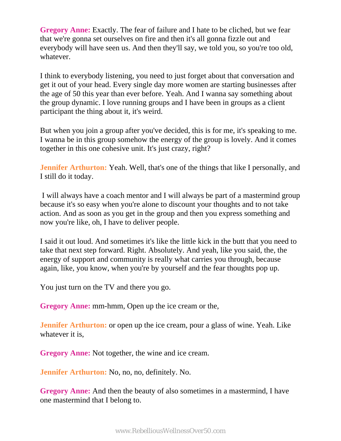**Gregory Anne:** Exactly. The fear of failure and I hate to be cliched, but we fear that we're gonna set ourselves on fire and then it's all gonna fizzle out and everybody will have seen us. And then they'll say, we told you, so you're too old, whatever.

I think to everybody listening, you need to just forget about that conversation and get it out of your head. Every single day more women are starting businesses after the age of 50 this year than ever before. Yeah. And I wanna say something about the group dynamic. I love running groups and I have been in groups as a client participant the thing about it, it's weird.

But when you join a group after you've decided, this is for me, it's speaking to me. I wanna be in this group somehow the energy of the group is lovely. And it comes together in this one cohesive unit. It's just crazy, right?

**Jennifer Arthurton:** Yeah. Well, that's one of the things that like I personally, and I still do it today.

 I will always have a coach mentor and I will always be part of a mastermind group because it's so easy when you're alone to discount your thoughts and to not take action. And as soon as you get in the group and then you express something and now you're like, oh, I have to deliver people.

I said it out loud. And sometimes it's like the little kick in the butt that you need to take that next step forward. Right. Absolutely. And yeah, like you said, the, the energy of support and community is really what carries you through, because again, like, you know, when you're by yourself and the fear thoughts pop up.

You just turn on the TV and there you go.

**Gregory Anne:** mm-hmm, Open up the ice cream or the,

**Jennifer Arthurton:** or open up the ice cream, pour a glass of wine. Yeah. Like whatever it is,

**Gregory Anne:** Not together, the wine and ice cream.

**Jennifer Arthurton:** No, no, no, definitely. No.

**Gregory Anne:** And then the beauty of also sometimes in a mastermind, I have one mastermind that I belong to.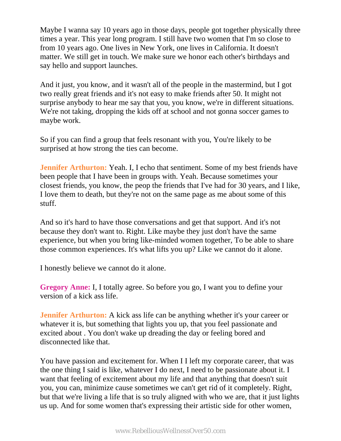Maybe I wanna say 10 years ago in those days, people got together physically three times a year. This year long program. I still have two women that I'm so close to from 10 years ago. One lives in New York, one lives in California. It doesn't matter. We still get in touch. We make sure we honor each other's birthdays and say hello and support launches.

And it just, you know, and it wasn't all of the people in the mastermind, but I got two really great friends and it's not easy to make friends after 50. It might not surprise anybody to hear me say that you, you know, we're in different situations. We're not taking, dropping the kids off at school and not gonna soccer games to maybe work.

So if you can find a group that feels resonant with you, You're likely to be surprised at how strong the ties can become.

**Jennifer Arthurton:** Yeah. I, I echo that sentiment. Some of my best friends have been people that I have been in groups with. Yeah. Because sometimes your closest friends, you know, the peop the friends that I've had for 30 years, and I like, I love them to death, but they're not on the same page as me about some of this stuff.

And so it's hard to have those conversations and get that support. And it's not because they don't want to. Right. Like maybe they just don't have the same experience, but when you bring like-minded women together, To be able to share those common experiences. It's what lifts you up? Like we cannot do it alone.

I honestly believe we cannot do it alone.

**Gregory Anne:** I, I totally agree. So before you go, I want you to define your version of a kick ass life.

**Jennifer Arthurton:** A kick ass life can be anything whether it's your career or whatever it is, but something that lights you up, that you feel passionate and excited about . You don't wake up dreading the day or feeling bored and disconnected like that.

You have passion and excitement for. When I I left my corporate career, that was the one thing I said is like, whatever I do next, I need to be passionate about it. I want that feeling of excitement about my life and that anything that doesn't suit you, you can, minimize cause sometimes we can't get rid of it completely. Right, but that we're living a life that is so truly aligned with who we are, that it just lights us up. And for some women that's expressing their artistic side for other women,